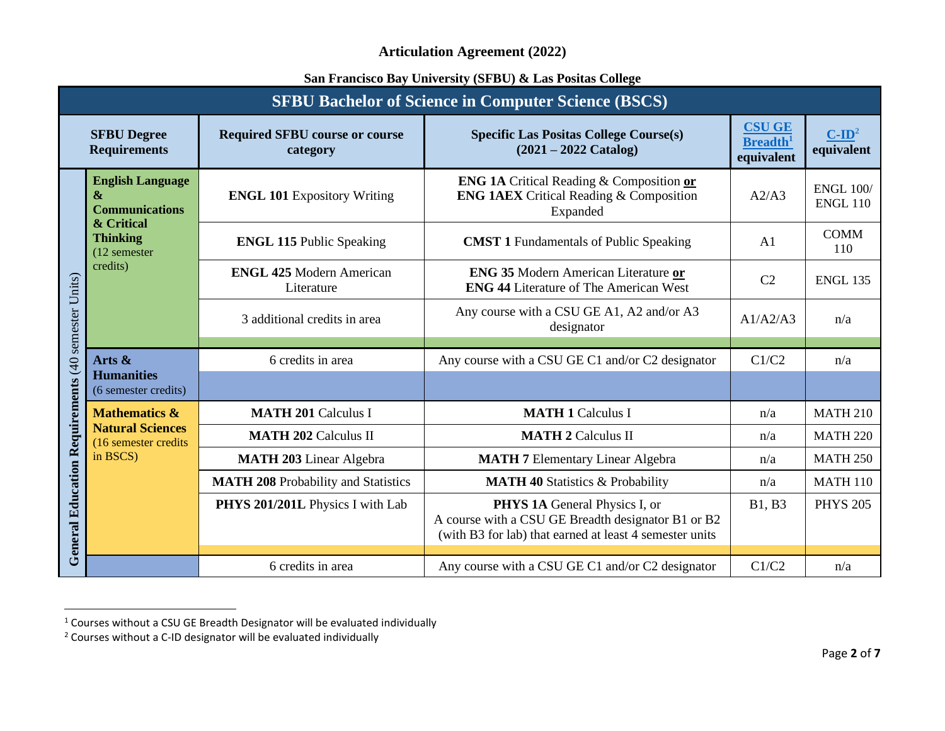|                                                    | <b>SFBU Bachelor of Science in Computer Science (BSCS)</b>                                                                     |                                                   |                                                                                                                                                |                                                            |                                     |  |
|----------------------------------------------------|--------------------------------------------------------------------------------------------------------------------------------|---------------------------------------------------|------------------------------------------------------------------------------------------------------------------------------------------------|------------------------------------------------------------|-------------------------------------|--|
|                                                    | <b>SFBU Degree</b><br><b>Requirements</b>                                                                                      | <b>Required SFBU course or course</b><br>category | <b>Specific Las Positas College Course(s)</b><br>$(2021 - 2022$ Catalog)                                                                       | <b>CSU GE</b><br><b>Breadth</b> <sup>1</sup><br>equivalent | $C$ -ID <sup>2</sup><br>equivalent  |  |
|                                                    | <b>English Language</b><br>$\mathbf{\&}$<br><b>Communications</b><br>& Critical<br><b>Thinking</b><br>(12 semester<br>credits) | <b>ENGL 101 Expository Writing</b>                | <b>ENG 1A Critical Reading &amp; Composition or</b><br><b>ENG 1AEX</b> Critical Reading & Composition<br>Expanded                              | A2/A3                                                      | <b>ENGL 100/</b><br><b>ENGL 110</b> |  |
|                                                    |                                                                                                                                | <b>ENGL 115 Public Speaking</b>                   | <b>CMST 1</b> Fundamentals of Public Speaking                                                                                                  | A1                                                         | <b>COMM</b><br>110                  |  |
|                                                    |                                                                                                                                | <b>ENGL 425 Modern American</b><br>Literature     | <b>ENG 35 Modern American Literature or</b><br><b>ENG 44 Literature of The American West</b>                                                   | C <sub>2</sub>                                             | <b>ENGL 135</b>                     |  |
|                                                    |                                                                                                                                | 3 additional credits in area                      | Any course with a CSU GE A1, A2 and/or A3<br>designator                                                                                        | A1/A2/A3                                                   | n/a                                 |  |
|                                                    | Arts &<br><b>Humanities</b><br>(6 semester credits)                                                                            | 6 credits in area                                 | Any course with a CSU GE C1 and/or C2 designator                                                                                               | C1/C2                                                      | n/a                                 |  |
|                                                    |                                                                                                                                |                                                   |                                                                                                                                                |                                                            |                                     |  |
|                                                    | <b>Mathematics &amp;</b>                                                                                                       | <b>MATH 201 Calculus I</b>                        | <b>MATH 1 Calculus I</b>                                                                                                                       | n/a                                                        | <b>MATH 210</b>                     |  |
|                                                    | <b>Natural Sciences</b><br>(16 semester credits<br>in BSCS)                                                                    | <b>MATH 202 Calculus II</b>                       | <b>MATH 2 Calculus II</b>                                                                                                                      | n/a                                                        | <b>MATH 220</b>                     |  |
|                                                    |                                                                                                                                | <b>MATH 203</b> Linear Algebra                    | <b>MATH 7 Elementary Linear Algebra</b>                                                                                                        | n/a                                                        | <b>MATH 250</b>                     |  |
|                                                    |                                                                                                                                | <b>MATH 208 Probability and Statistics</b>        | <b>MATH 40 Statistics &amp; Probability</b>                                                                                                    | n/a                                                        | <b>MATH 110</b>                     |  |
| General Education Requirements (40 semester Units) |                                                                                                                                | PHYS 201/201L Physics I with Lab                  | PHYS 1A General Physics I, or<br>A course with a CSU GE Breadth designator B1 or B2<br>(with B3 for lab) that earned at least 4 semester units | <b>B1</b> , <b>B3</b>                                      | <b>PHYS 205</b>                     |  |
|                                                    |                                                                                                                                | 6 credits in area                                 | Any course with a CSU GE C1 and/or C2 designator                                                                                               | C1/C2                                                      | n/a                                 |  |

 $1$  Courses without a CSU GE Breadth Designator will be evaluated individually

<sup>&</sup>lt;sup>2</sup> Courses without a C-ID designator will be evaluated individually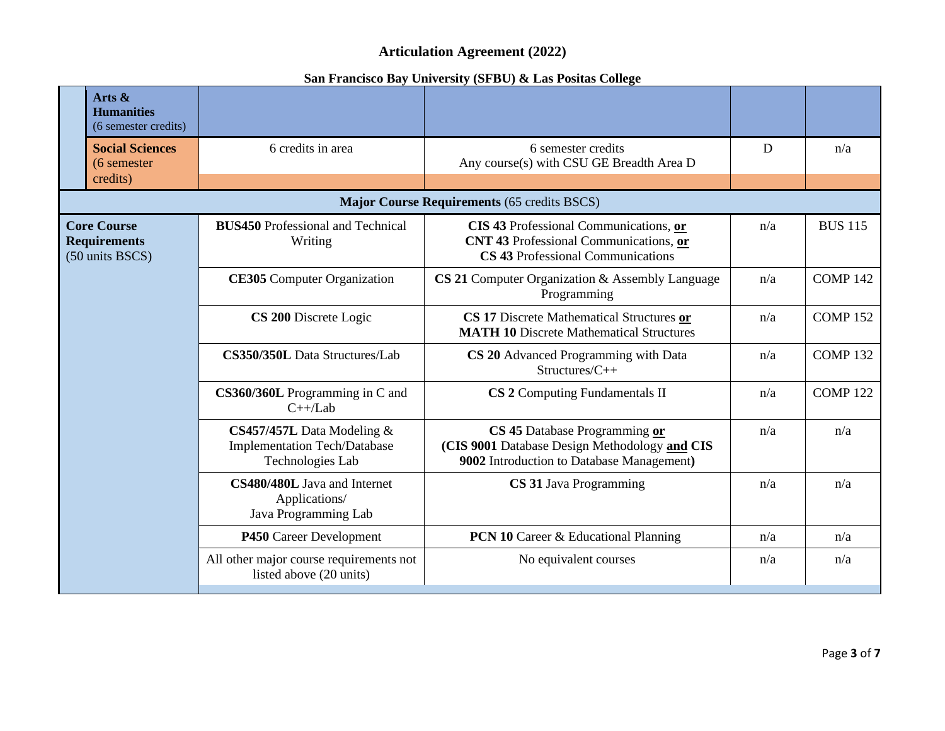|                                                              | Arts &                                    |                                                                                         |                                                                                                                             |     |                |
|--------------------------------------------------------------|-------------------------------------------|-----------------------------------------------------------------------------------------|-----------------------------------------------------------------------------------------------------------------------------|-----|----------------|
|                                                              | <b>Humanities</b><br>(6 semester credits) |                                                                                         |                                                                                                                             |     |                |
|                                                              | <b>Social Sciences</b><br>(6 semester)    | 6 credits in area                                                                       | 6 semester credits<br>Any course(s) with CSU GE Breadth Area D                                                              | D   | n/a            |
|                                                              | credits)                                  |                                                                                         |                                                                                                                             |     |                |
|                                                              |                                           |                                                                                         | <b>Major Course Requirements (65 credits BSCS)</b>                                                                          |     |                |
| <b>Core Course</b><br><b>Requirements</b><br>(50 units BSCS) |                                           | <b>BUS450</b> Professional and Technical<br>Writing                                     | CIS 43 Professional Communications, or<br>CNT 43 Professional Communications, or<br>CS 43 Professional Communications       | n/a | <b>BUS 115</b> |
|                                                              |                                           | <b>CE305</b> Computer Organization                                                      | CS 21 Computer Organization & Assembly Language<br>Programming                                                              | n/a | <b>COMP142</b> |
|                                                              |                                           | CS 200 Discrete Logic                                                                   | CS 17 Discrete Mathematical Structures or<br><b>MATH 10 Discrete Mathematical Structures</b>                                | n/a | <b>COMP152</b> |
|                                                              |                                           | CS350/350L Data Structures/Lab                                                          | CS 20 Advanced Programming with Data<br>Structures/C++                                                                      | n/a | <b>COMP132</b> |
|                                                              |                                           | CS360/360L Programming in C and<br>$C++/Lab$                                            | CS 2 Computing Fundamentals II                                                                                              | n/a | <b>COMP122</b> |
|                                                              |                                           | CS457/457L Data Modeling $&$<br><b>Implementation Tech/Database</b><br>Technologies Lab | CS 45 Database Programming or<br>(CIS 9001 Database Design Methodology and CIS<br>9002 Introduction to Database Management) | n/a | n/a            |
|                                                              |                                           | CS480/480L Java and Internet<br>Applications/<br>Java Programming Lab                   | CS 31 Java Programming                                                                                                      | n/a | n/a            |
|                                                              |                                           | P450 Career Development                                                                 | <b>PCN 10 Career &amp; Educational Planning</b>                                                                             | n/a | n/a            |
|                                                              |                                           | All other major course requirements not<br>listed above (20 units)                      | No equivalent courses                                                                                                       | n/a | n/a            |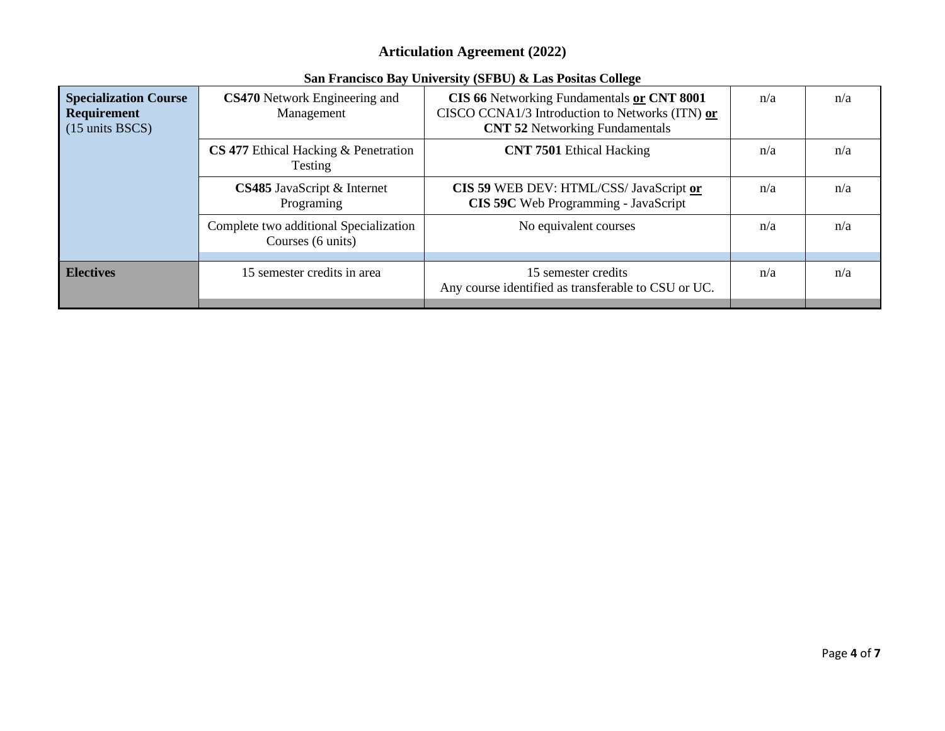| <b>Specialization Course</b><br>Requirement<br>$(15 \text{ units } BSCS)$ | CS470 Network Engineering and<br>Management                 | CIS 66 Networking Fundamentals or CNT 8001<br>CISCO CCNA1/3 Introduction to Networks (ITN) or<br><b>CNT 52 Networking Fundamentals</b> | n/a | n/a |
|---------------------------------------------------------------------------|-------------------------------------------------------------|----------------------------------------------------------------------------------------------------------------------------------------|-----|-----|
|                                                                           | <b>CS 477</b> Ethical Hacking & Penetration<br>Testing      | <b>CNT 7501</b> Ethical Hacking                                                                                                        | n/a | n/a |
|                                                                           | CS485 JavaScript & Internet<br>Programing                   | CIS 59 WEB DEV: HTML/CSS/ JavaScript or<br>CIS 59C Web Programming - JavaScript                                                        | n/a | n/a |
|                                                                           | Complete two additional Specialization<br>Courses (6 units) | No equivalent courses                                                                                                                  | n/a | n/a |
| <b>Electives</b>                                                          | 15 semester credits in area                                 | 15 semester credits<br>Any course identified as transferable to CSU or UC.                                                             | n/a | n/a |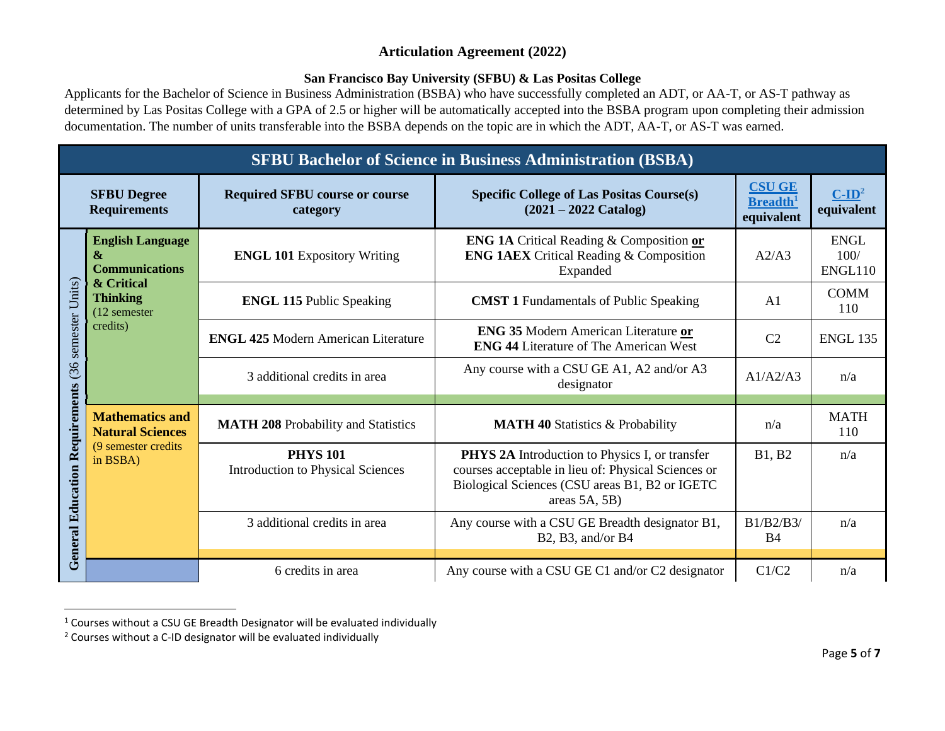## **San Francisco Bay University (SFBU) & Las Positas College**

Applicants for the Bachelor of Science in Business Administration (BSBA) who have successfully completed an ADT, or AA-T, or AS-T pathway as determined by Las Positas College with a GPA of 2.5 or higher will be automatically accepted into the BSBA program upon completing their admission documentation. The number of units transferable into the BSBA depends on the topic are in which the ADT, AA-T, or AS-T was earned.

|                                           | <b>SFBU Bachelor of Science in Business Administration (BSBA)</b>                                                    |                                                             |                                                                                                                                                                                       |                                                            |                                    |  |  |
|-------------------------------------------|----------------------------------------------------------------------------------------------------------------------|-------------------------------------------------------------|---------------------------------------------------------------------------------------------------------------------------------------------------------------------------------------|------------------------------------------------------------|------------------------------------|--|--|
| <b>SFBU Degree</b><br><b>Requirements</b> |                                                                                                                      | <b>Required SFBU course or course</b><br>category           | <b>Specific College of Las Positas Course(s)</b><br>$(2021 - 2022$ Catalog)                                                                                                           | <b>CSU GE</b><br><b>Breadth</b> <sup>1</sup><br>equivalent | $C$ -ID <sup>2</sup><br>equivalent |  |  |
|                                           | <b>English Language</b><br>&<br><b>Communications</b><br>& Critical<br><b>Thinking</b><br>$(12$ semester<br>credits) | <b>ENGL 101 Expository Writing</b>                          | <b>ENG 1A Critical Reading &amp; Composition or</b><br><b>ENG 1AEX</b> Critical Reading & Composition<br>Expanded                                                                     | A2/A3                                                      | <b>ENGL</b><br>100/<br>ENGL110     |  |  |
|                                           |                                                                                                                      | <b>ENGL 115 Public Speaking</b>                             | <b>CMST 1</b> Fundamentals of Public Speaking                                                                                                                                         | A <sub>1</sub>                                             | <b>COMM</b><br>110                 |  |  |
| semester Units)                           |                                                                                                                      | <b>ENGL 425 Modern American Literature</b>                  | <b>ENG 35 Modern American Literature or</b><br><b>ENG 44 Literature of The American West</b>                                                                                          | C <sub>2</sub>                                             | <b>ENGL 135</b>                    |  |  |
| (36)                                      |                                                                                                                      | 3 additional credits in area                                | Any course with a CSU GE A1, A2 and/or A3<br>designator                                                                                                                               | A1/A2/A3                                                   | n/a                                |  |  |
|                                           | <b>Mathematics and</b><br><b>Natural Sciences</b><br>(9 semester credits)<br>in BSBA)                                | <b>MATH 208 Probability and Statistics</b>                  | <b>MATH 40 Statistics &amp; Probability</b>                                                                                                                                           | n/a                                                        | <b>MATH</b><br>110                 |  |  |
| <b>General Education Requirements</b>     |                                                                                                                      | <b>PHYS 101</b><br><b>Introduction to Physical Sciences</b> | <b>PHYS 2A</b> Introduction to Physics I, or transfer<br>courses acceptable in lieu of: Physical Sciences or<br>Biological Sciences (CSU areas B1, B2 or IGETC<br>areas $5A$ , $5B$ ) | <b>B1, B2</b>                                              | n/a                                |  |  |
|                                           |                                                                                                                      | 3 additional credits in area                                | Any course with a CSU GE Breadth designator B1,<br>B2, B3, and/or B4                                                                                                                  | B1/B2/B3/<br><b>B4</b>                                     | n/a                                |  |  |
|                                           |                                                                                                                      | 6 credits in area                                           | Any course with a CSU GE C1 and/or C2 designator                                                                                                                                      | C1/C2                                                      | n/a                                |  |  |

 $1$  Courses without a CSU GE Breadth Designator will be evaluated individually

<sup>2</sup> Courses without a C-ID designator will be evaluated individually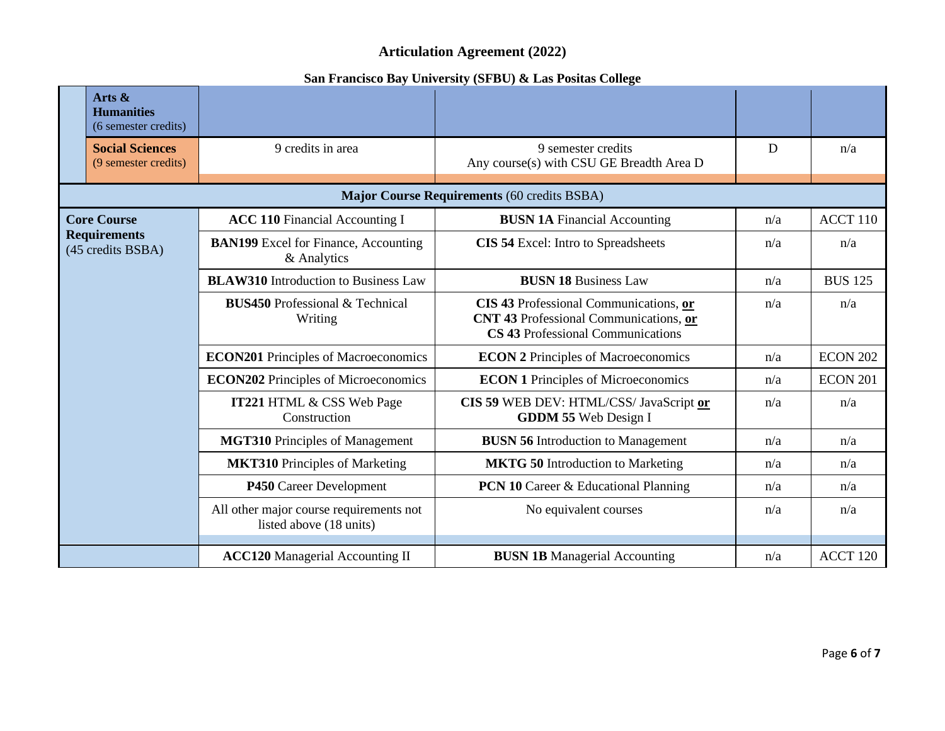|  | Arts $\&$<br><b>Humanities</b><br>(6 semester credits) |                                                                    |                                                                                                                              |     |                 |
|--|--------------------------------------------------------|--------------------------------------------------------------------|------------------------------------------------------------------------------------------------------------------------------|-----|-----------------|
|  | <b>Social Sciences</b><br>(9 semester credits)         | 9 credits in area                                                  | 9 semester credits<br>Any course(s) with CSU GE Breadth Area D                                                               | D   | n/a             |
|  |                                                        |                                                                    | Major Course Requirements (60 credits BSBA)                                                                                  |     |                 |
|  | <b>Core Course</b>                                     | <b>ACC 110 Financial Accounting I</b>                              | <b>BUSN 1A Financial Accounting</b>                                                                                          | n/a | ACCT 110        |
|  | <b>Requirements</b><br>(45 credits BSBA)               | <b>BAN199</b> Excel for Finance, Accounting<br>& Analytics         | CIS 54 Excel: Intro to Spreadsheets                                                                                          | n/a | n/a             |
|  |                                                        | <b>BLAW310</b> Introduction to Business Law                        | <b>BUSN 18 Business Law</b>                                                                                                  | n/a | <b>BUS 125</b>  |
|  |                                                        | <b>BUS450</b> Professional & Technical<br>Writing                  | CIS 43 Professional Communications, or<br><b>CNT 43 Professional Communications, or</b><br>CS 43 Professional Communications | n/a | n/a             |
|  |                                                        | <b>ECON201</b> Principles of Macroeconomics                        | <b>ECON 2 Principles of Macroeconomics</b>                                                                                   | n/a | <b>ECON 202</b> |
|  |                                                        | <b>ECON202</b> Principles of Microeconomics                        | <b>ECON 1 Principles of Microeconomics</b>                                                                                   | n/a | <b>ECON 201</b> |
|  |                                                        | <b>IT221 HTML &amp; CSS Web Page</b><br>Construction               | CIS 59 WEB DEV: HTML/CSS/ JavaScript or<br><b>GDDM 55 Web Design I</b>                                                       | n/a | n/a             |
|  |                                                        | <b>MGT310</b> Principles of Management                             | <b>BUSN 56</b> Introduction to Management                                                                                    | n/a | n/a             |
|  |                                                        | <b>MKT310</b> Principles of Marketing                              | <b>MKTG 50 Introduction to Marketing</b>                                                                                     | n/a | n/a             |
|  |                                                        | P450 Career Development                                            | <b>PCN 10 Career &amp; Educational Planning</b>                                                                              | n/a | n/a             |
|  |                                                        | All other major course requirements not<br>listed above (18 units) | No equivalent courses                                                                                                        | n/a | n/a             |
|  |                                                        | <b>ACC120</b> Managerial Accounting II                             | <b>BUSN 1B</b> Managerial Accounting                                                                                         | n/a | ACCT 120        |